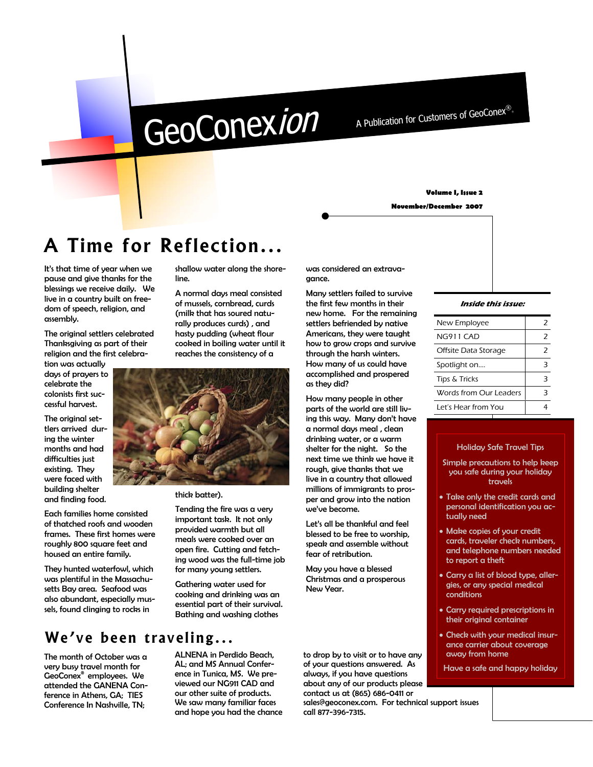# GeoConexion

A Publication for Customers of GeoConex®.

#### **Volume I, Issue 2**

**November/December 2007** 

## **A Time for Reflection...**

It's that time of year when we pause and give thanks for the blessings we receive daily. We live in a country built on freedom of speech, religion, and assembly.

The original settlers celebrated Thanksgiving as part of their religion and the first celebra-

tion was actually days of prayers to celebrate the colonists first successful harvest.

The original settlers arrived during the winter months and had difficulties just existing. They were faced with building shelter and finding food.

Each families home consisted of thatched roofs and wooden frames. These first homes were roughly 800 square feet and housed an entire family.

They hunted waterfowl, which was plentiful in the Massachusetts Bay area. Seafood was also abundant, especially mussels, found clinging to rocks in

shallow water along the shoreline.

A normal days meal consisted of mussels, cornbread, curds (milk that has soured naturally produces curds) , and hasty pudding (wheat flour cooked in boiling water until it reaches the consistency of a



thick batter).

Tending the fire was a very important task. It not only provided warmth but all meals were cooked over an open fire. Cutting and fetching wood was the full-time job for many young settlers.

Gathering water used for cooking and drinking was an essential part of their survival. Bathing and washing clothes

### **We've been traveling...**

The month of October was a very busy travel month for GeoConex® employees. We attended the GANENA Conference in Athens, GA; TIES Conference In Nashville, TN;

ALNENA in Perdido Beach, AL; and MS Annual Conference in Tunica, MS. We previewed our NG911 CAD and our other suite of products. We saw many familiar faces and hope you had the chance was considered an extravagance.

Many settlers failed to survive the first few months in their new home. For the remaining settlers befriended by native Americans, they were taught how to grow crops and survive through the harsh winters. How many of us could have accomplished and prospered as they did?

How many people in other parts of the world are still living this way. Many don't have a normal days meal , clean drinking water, or a warm shelter for the night. So the next time we think we have it rough, give thanks that we live in a country that allowed millions of immigrants to prosper and grow into the nation we've become.

Let's all be thankful and feel blessed to be free to worship, speak and assemble without fear of retribution.

May you have a blessed Christmas and a prosperous New Year.

to drop by to visit or to have any of your questions answered. As always, if you have questions about any of our products please contact us at (865) 686-0411 or

sales@geoconex.com. For technical support issues call 877-396-7315.

#### **Inside this issue:**

| New Employee           | 2             |
|------------------------|---------------|
| NG911 CAD              | $\mathcal{P}$ |
| Offsite Data Storage   | $\mathcal{P}$ |
| Spotlight on           | з             |
| Tips & Tricks          | з             |
| Words from Our Leaders | 3             |
| Let's Hear from You    |               |
|                        |               |

#### Holiday Safe Travel Tips

- Simple precautions to help keep you safe during your holiday travels
- Take only the credit cards and personal identification you actually need
- Make copies of your credit cards, traveler check numbers, and telephone numbers needed to report a theft
- Carry a list of blood type, allergies, or any special medical conditions
- Carry required prescriptions in their original container
- Check with your medical insurance carrier about coverage away from home
- Have a safe and happy holiday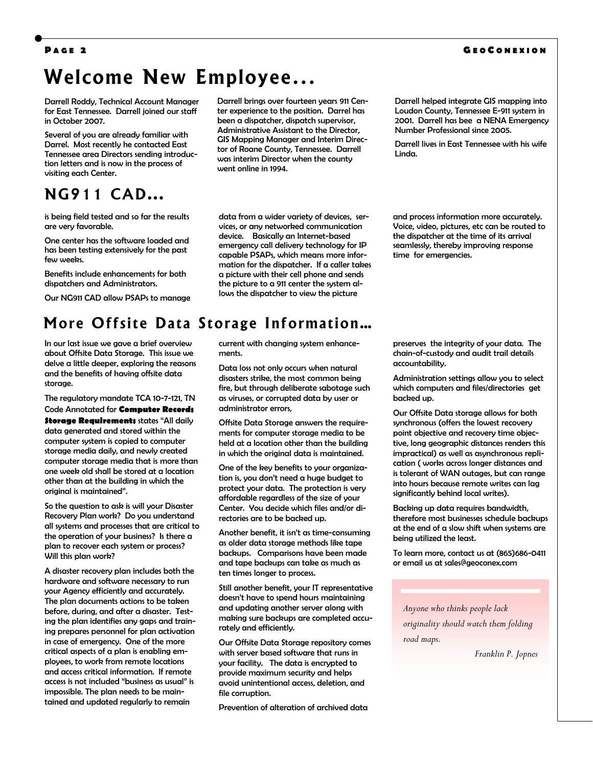#### **G E O C ONEXION**

#### **P AGE 2**

### **Welcome New Employee...**

Darrell Roddy, Technical Account Manager for East Tennessee. Darrell joined our staff in October 2007.

Several of you are already familiar with Darrel. Most recently he contacted East Tennessee area Directors sending introduction letters and is now in the process of visiting each Center.

### **NG911 CAD...**

is being field tested and so far the results are very favorable.

One center has the software loaded and has been testing extensively for the past few weeks.

Benefits include enhancements for both dispatchers and Administrators.

Our NG911 CAD allow PSAPs to manage

### **More Offsite Data Storage Information…**

In our last issue we gave a brief overview about Offsite Data Storage. This issue we delve a little deeper, exploring the reasons and the benefits of having offsite data storage.

The regulatory mandate TCA 10-7-121, TN Code Annotated for **Computer Records Storage Requirements** states "All daily data generated and stored within the computer system is copied to computer storage media daily, and newly created computer storage media that is more than one week old shall be stored at a location other than at the building in which the original is maintained".

So the question to ask is will your Disaster Recovery Plan work? Do you understand all systems and processes that are critical to the operation of your business? Is there a plan to recover each system or process? Will this plan work?

A disaster recovery plan includes both the hardware and software necessary to run your Agency efficiently and accurately. The plan documents actions to be taken before, during, and after a disaster. Testing the plan identifies any gaps and training prepares personnel for plan activation in case of emergency. One of the more critical aspects of a plan is enabling employees, to work from remote locations and access critical information. If remote access is not included "business as usual" is impossible. The plan needs to be maintained and updated regularly to remain

Darrell brings over fourteen years 911 Center experience to the position. Darrel has been a dispatcher, dispatch supervisor, Administrative Assistant to the Director, GIS Mapping Manager and Interim Director of Roane County, Tennessee. Darrell was interim Director when the county went online in 1994.

data from a wider variety of devices, services, or any networked communication device. Basically an Internet-based emergency call delivery technology for IP capable PSAPs, which means more information for the dispatcher. If a caller takes a picture with their cell phone and sends the picture to a 911 center the system allows the dispatcher to view the picture

current with changing system enhancements.

> Data loss not only occurs when natural disasters strike, the most common being fire, but through deliberate sabotage such as viruses, or corrupted data by user or administrator errors,

Offsite Data Storage answers the requirements for computer storage media to be held at a location other than the building in which the original data is maintained.

One of the key benefits to your organization is, you don't need a huge budget to protect your data. The protection is very affordable regardless of the size of your Center. You decide which files and/or directories are to be backed up.

Another benefit, it isn't as time-consuming as older data storage methods like tape backups. Comparisons have been made and tape backups can take as much as ten times longer to process.

Still another benefit, your IT representative doesn't have to spend hours maintaining and updating another server along with making sure backups are completed accurately and efficiently.

Our Offsite Data Storage repository comes with server based software that runs in your facility. The data is encrypted to provide maximum security and helps avoid unintentional access, deletion, and file corruption.

Prevention of alteration of archived data

Darrell helped integrate GIS mapping into Loudon County, Tennessee E-911 system in 2001. Darrell has bee a NENA Emergency Number Professional since 2005.

Darrell lives in East Tennessee with his wife Linda.

and process information more accurately. Voice, video, pictures, etc can be routed to the dispatcher at the time of its arrival seamlessly, thereby improving response time for emergencies.

preserves the integrity of your data. The chain-of-custody and audit trail details accountability.

Administration settings allow you to select which computers and files/directories get backed up.

Our Offsite Data storage allows for both synchronous (offers the lowest recovery point objective and recovery time objective, long geographic distances renders this impractical) as well as asynchronous replication ( works across longer distances and is tolerant of WAN outages, but can range into hours because remote writes can lag significantly behind local writes).

Backing up data requires bandwidth, therefore most businesses schedule backups at the end of a slow shift when systems are being utilized the least.

To learn more, contact us at (865)686-0411 or email us at sales@geoconex.com

*Anyone who thinks people lack originality should watch them folding road maps.* 

*Franklin P. Jopnes*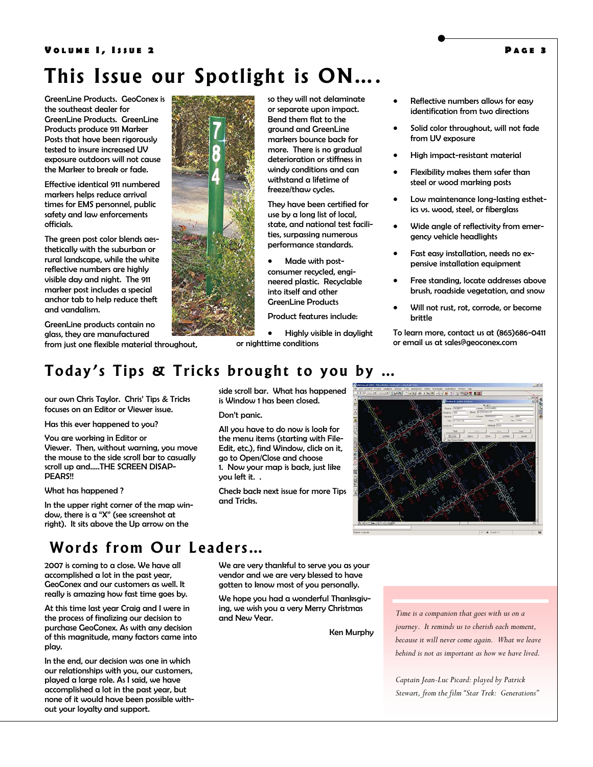### **This Issue our Spotlight is ON….**

GreenLine Products. GeoConex is the southeast dealer for GreenLine Products. GreenLine Products produce 911 Marker Posts that have been rigorously tested to insure increased UV exposure outdoors will not cause the Marker to break or fade.

Effective identical 911 numbered markers helps reduce arrival times for EMS personnel, public safety and law enforcements officials.

The green post color blends aesthetically with the suburban or rural landscape, while the white reflective numbers are highly visible day and night. The 911 marker post includes a special anchor tab to help reduce theft and vandalism.

GreenLine products contain no glass, they are manufactured from just one flexible material throughout,



so they will not delaminate or separate upon impact. Bend them flat to the ground and GreenLine markers bounce back for more. There is no gradual deterioration or stiffness in windy conditions and can withstand a lifetime of freeze/thaw cycles.

They have been certified for use by a long list of local, state, and national test facilities, surpassing numerous performance standards.

• Made with postconsumer recycled, engineered plastic. Recyclable into itself and other GreenLine Products

Product features include:

• Highly visible in daylight or nighttime conditions

is Window 1 has been closed.

go to Open/Close and choose

Don't panic.

you left it. .

and Tricks.

- Reflective numbers allows for easy identification from two directions
- Solid color throughout, will not fade from UV exposure
- High impact-resistant material
- Flexibility makes them safer than steel or wood marking posts
- Low maintenance long-lasting esthetics vs. wood, steel, or fiberglass
- Wide angle of reflectivity from emergency vehicle headlights
- Fast easy installation, needs no expensive installation equipment
- Free standing, locate addresses above brush, roadside vegetation, and snow
- Will not rust, rot, corrode, or become brittle

To learn more, contact us at (865)686-0411 or email us at sales@geoconex.com

### **Today's Tips & Tricks brought to you by …**

our own Chris Taylor. Chris' Tips & Tricks focuses on an Editor or Viewer issue.

Has this ever happened to you?

You are working in Editor or Viewer. Then, without warning, you move the mouse to the side scroll bar to casually scroll up and…..THE SCREEN DISAP-PEARS!!

#### What has happened ?

In the upper right corner of the map window, there is a "X" (see screenshot at right). It sits above the Up arrow on the

### **Words from Our Leaders…**

2007 is coming to a close. We have all accomplished a lot in the past year, GeoConex and our customers as well. It really is amazing how fast time goes by.

At this time last year Craig and I were in the process of finalizing our decision to purchase GeoConex. As with any decision of this magnitude, many factors came into play.

In the end, our decision was one in which our relationships with you, our customers, played a large role. As I said, we have accomplished a lot in the past year, but none of it would have been possible without your loyalty and support.

We are very thankful to serve you as your vendor and we are very blessed to have gotten to know most of you personally.

We hope you had a wonderful Thanksgiving, we wish you a very Merry Christmas and New Year.

Ken Murphy

*Time is a companion that goes with us on a journey. It reminds us to cherish each moment, because it will never come again. What we leave behind is not as important as how we have lived.* 

*Captain Jean-Luc Picard: played by Patrick Stewart, from the film "Star Trek: Generations"* 

Determinating Tool Sections Office and contact substitutions of the second section of the second section of the second section of the second section of the second section of the second section of the second section of the